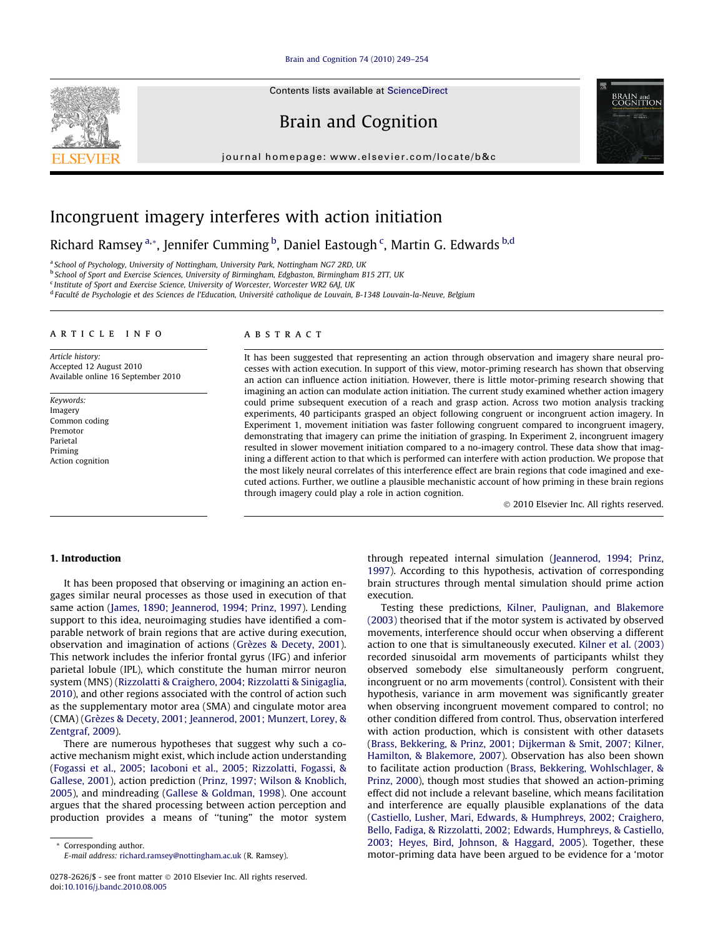[Brain and Cognition 74 \(2010\) 249–254](http://dx.doi.org/10.1016/j.bandc.2010.08.005)

Contents lists available at [ScienceDirect](http://www.sciencedirect.com/science/journal/02782626)

Brain and Cognition

journal homepage: [www.elsevier.com/locate/b&c](http://www.elsevier.com/locate/b&c)



# Incongruent imagery interferes with action initiation

Richard Ramsey <sup>a,</sup>\*, Jennifer Cumming <sup>b</sup>, Daniel Eastough <sup>c</sup>, Martin G. Edwards <sup>b,d</sup>

a School of Psychology, University of Nottingham, University Park, Nottingham NG7 2RD, UK

<sup>b</sup> School of Sport and Exercise Sciences, University of Birmingham, Edgbaston, Birmingham B15 2TT, UK

<sup>c</sup> Institute of Sport and Exercise Science, University of Worcester, Worcester WR2 6AJ, UK

<sup>d</sup> Faculté de Psychologie et des Sciences de l'Education, Université catholique de Louvain, B-1348 Louvain-la-Neuve, Belgium

#### article info

Article history: Accepted 12 August 2010 Available online 16 September 2010

Keywords: Imagery Common coding Premotor Parietal Priming Action cognition

## ABSTRACT

It has been suggested that representing an action through observation and imagery share neural processes with action execution. In support of this view, motor-priming research has shown that observing an action can influence action initiation. However, there is little motor-priming research showing that imagining an action can modulate action initiation. The current study examined whether action imagery could prime subsequent execution of a reach and grasp action. Across two motion analysis tracking experiments, 40 participants grasped an object following congruent or incongruent action imagery. In Experiment 1, movement initiation was faster following congruent compared to incongruent imagery, demonstrating that imagery can prime the initiation of grasping. In Experiment 2, incongruent imagery resulted in slower movement initiation compared to a no-imagery control. These data show that imagining a different action to that which is performed can interfere with action production. We propose that the most likely neural correlates of this interference effect are brain regions that code imagined and executed actions. Further, we outline a plausible mechanistic account of how priming in these brain regions through imagery could play a role in action cognition.

- 2010 Elsevier Inc. All rights reserved.

# 1. Introduction

It has been proposed that observing or imagining an action engages similar neural processes as those used in execution of that same action [\(James, 1890; Jeannerod, 1994; Prinz, 1997\)](#page-5-0). Lending support to this idea, neuroimaging studies have identified a comparable network of brain regions that are active during execution, observation and imagination of actions ([Grèzes & Decety, 2001\)](#page-5-0). This network includes the inferior frontal gyrus (IFG) and inferior parietal lobule (IPL), which constitute the human mirror neuron system (MNS) [\(Rizzolatti & Craighero, 2004; Rizzolatti & Sinigaglia,](#page-5-0) [2010](#page-5-0)), and other regions associated with the control of action such as the supplementary motor area (SMA) and cingulate motor area (CMA) ([Grèzes & Decety, 2001; Jeannerod, 2001; Munzert, Lorey, &](#page-5-0) [Zentgraf, 2009\)](#page-5-0).

There are numerous hypotheses that suggest why such a coactive mechanism might exist, which include action understanding ([Fogassi et al., 2005; Iacoboni et al., 2005; Rizzolatti, Fogassi, &](#page-5-0) [Gallese, 2001](#page-5-0)), action prediction ([Prinz, 1997; Wilson & Knoblich,](#page-5-0) [2005](#page-5-0)), and mindreading ([Gallese & Goldman, 1998\)](#page-5-0). One account argues that the shared processing between action perception and production provides a means of ''tuning" the motor system

Corresponding author. E-mail address: [richard.ramsey@nottingham.ac.uk](mailto:richard.ramsey@nottingham.ac.uk) (R. Ramsey). through repeated internal simulation [\(Jeannerod, 1994; Prinz,](#page-5-0) [1997\)](#page-5-0). According to this hypothesis, activation of corresponding brain structures through mental simulation should prime action execution.

Testing these predictions, [Kilner, Paulignan, and Blakemore](#page-5-0) [\(2003\)](#page-5-0) theorised that if the motor system is activated by observed movements, interference should occur when observing a different action to one that is simultaneously executed. [Kilner et al. \(2003\)](#page-5-0) recorded sinusoidal arm movements of participants whilst they observed somebody else simultaneously perform congruent, incongruent or no arm movements (control). Consistent with their hypothesis, variance in arm movement was significantly greater when observing incongruent movement compared to control; no other condition differed from control. Thus, observation interfered with action production, which is consistent with other datasets ([Brass, Bekkering, & Prinz, 2001; Dijkerman & Smit, 2007; Kilner,](#page-5-0) [Hamilton, & Blakemore, 2007](#page-5-0)). Observation has also been shown to facilitate action production ([Brass, Bekkering, Wohlschlager, &](#page-5-0) [Prinz, 2000\)](#page-5-0), though most studies that showed an action-priming effect did not include a relevant baseline, which means facilitation and interference are equally plausible explanations of the data ([Castiello, Lusher, Mari, Edwards, & Humphreys, 2002; Craighero,](#page-5-0) [Bello, Fadiga, & Rizzolatti, 2002; Edwards, Humphreys, & Castiello,](#page-5-0) [2003; Heyes, Bird, Johnson, & Haggard, 2005](#page-5-0)). Together, these motor-priming data have been argued to be evidence for a 'motor



<sup>0278-2626/\$ -</sup> see front matter © 2010 Elsevier Inc. All rights reserved. doi[:10.1016/j.bandc.2010.08.005](http://dx.doi.org/10.1016/j.bandc.2010.08.005)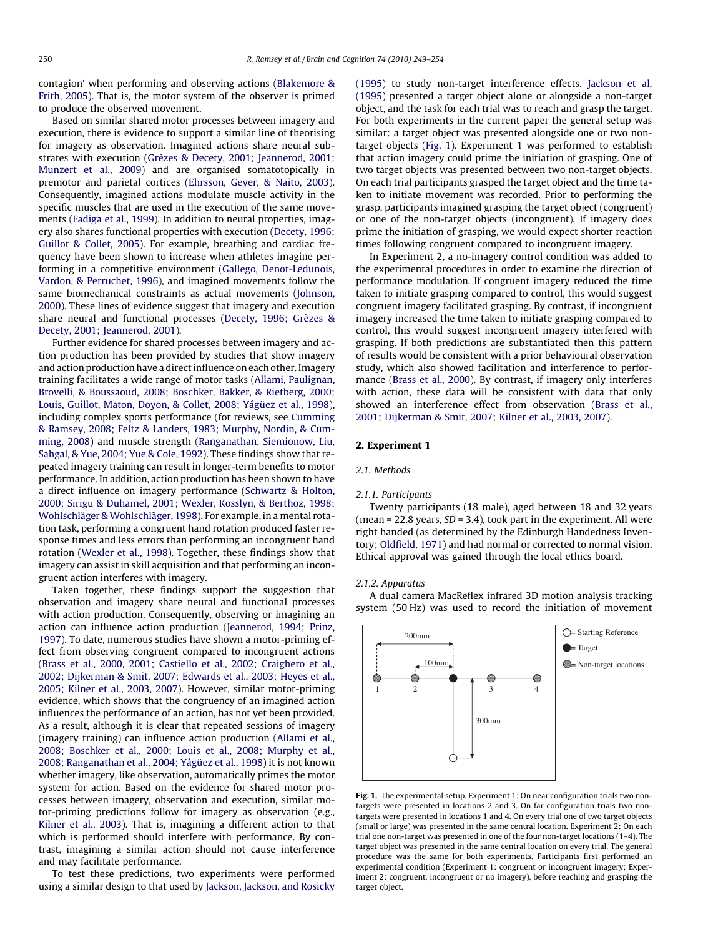<span id="page-1-0"></span>contagion' when performing and observing actions ([Blakemore &](#page-5-0) [Frith, 2005\)](#page-5-0). That is, the motor system of the observer is primed to produce the observed movement.

Based on similar shared motor processes between imagery and execution, there is evidence to support a similar line of theorising for imagery as observation. Imagined actions share neural substrates with execution [\(Grèzes & Decety, 2001; Jeannerod, 2001;](#page-5-0) [Munzert et al., 2009\)](#page-5-0) and are organised somatotopically in premotor and parietal cortices ([Ehrsson, Geyer, & Naito, 2003\)](#page-5-0). Consequently, imagined actions modulate muscle activity in the specific muscles that are used in the execution of the same movements ([Fadiga et al., 1999\)](#page-5-0). In addition to neural properties, imagery also shares functional properties with execution [\(Decety, 1996;](#page-5-0) [Guillot & Collet, 2005](#page-5-0)). For example, breathing and cardiac frequency have been shown to increase when athletes imagine performing in a competitive environment ([Gallego, Denot-Ledunois,](#page-5-0) [Vardon, & Perruchet, 1996](#page-5-0)), and imagined movements follow the same biomechanical constraints as actual movements ([Johnson,](#page-5-0) [2000\)](#page-5-0). These lines of evidence suggest that imagery and execution share neural and functional processes [\(Decety, 1996; Grèzes &](#page-5-0) [Decety, 2001; Jeannerod, 2001\)](#page-5-0).

Further evidence for shared processes between imagery and action production has been provided by studies that show imagery and action production have a direct influence on each other. Imagery training facilitates a wide range of motor tasks ([Allami, Paulignan,](#page-5-0) [Brovelli, & Boussaoud, 2008; Boschker, Bakker, & Rietberg, 2000;](#page-5-0) [Louis, Guillot, Maton, Doyon, & Collet, 2008; Yágüez et al., 1998\)](#page-5-0), including complex sports performance (for reviews, see [Cumming](#page-5-0) [& Ramsey, 2008; Feltz & Landers, 1983; Murphy, Nordin, & Cum](#page-5-0)[ming, 2008](#page-5-0)) and muscle strength [\(Ranganathan, Siemionow, Liu,](#page-5-0) [Sahgal, & Yue, 2004; Yue & Cole, 1992\)](#page-5-0). These findings show that repeated imagery training can result in longer-term benefits to motor performance. In addition, action production has been shown to have a direct influence on imagery performance ([Schwartz & Holton,](#page-5-0) [2000; Sirigu & Duhamel, 2001; Wexler, Kosslyn, & Berthoz, 1998;](#page-5-0) [Wohlschläger & Wohlschläger, 1998](#page-5-0)). For example, in a mental rotation task, performing a congruent hand rotation produced faster response times and less errors than performing an incongruent hand rotation [\(Wexler et al., 1998](#page-5-0)). Together, these findings show that imagery can assist in skill acquisition and that performing an incongruent action interferes with imagery.

Taken together, these findings support the suggestion that observation and imagery share neural and functional processes with action production. Consequently, observing or imagining an action can influence action production [\(Jeannerod, 1994; Prinz,](#page-5-0) [1997\)](#page-5-0). To date, numerous studies have shown a motor-priming effect from observing congruent compared to incongruent actions ([Brass et al., 2000, 2001; Castiello et al., 2002; Craighero et al.,](#page-5-0) [2002; Dijkerman & Smit, 2007; Edwards et al., 2003; Heyes et al.,](#page-5-0) [2005; Kilner et al., 2003, 2007\)](#page-5-0). However, similar motor-priming evidence, which shows that the congruency of an imagined action influences the performance of an action, has not yet been provided. As a result, although it is clear that repeated sessions of imagery (imagery training) can influence action production ([Allami et al.,](#page-5-0) [2008; Boschker et al., 2000; Louis et al., 2008; Murphy et al.,](#page-5-0) [2008; Ranganathan et al., 2004; Yágüez et al., 1998\)](#page-5-0) it is not known whether imagery, like observation, automatically primes the motor system for action. Based on the evidence for shared motor processes between imagery, observation and execution, similar motor-priming predictions follow for imagery as observation (e.g., [Kilner et al., 2003](#page-5-0)). That is, imagining a different action to that which is performed should interfere with performance. By contrast, imagining a similar action should not cause interference and may facilitate performance.

To test these predictions, two experiments were performed using a similar design to that used by [Jackson, Jackson, and Rosicky](#page-5-0)

[\(1995\)](#page-5-0) to study non-target interference effects. [Jackson et al.](#page-5-0) [\(1995\)](#page-5-0) presented a target object alone or alongside a non-target object, and the task for each trial was to reach and grasp the target. For both experiments in the current paper the general setup was similar: a target object was presented alongside one or two nontarget objects (Fig. 1). Experiment 1 was performed to establish that action imagery could prime the initiation of grasping. One of two target objects was presented between two non-target objects. On each trial participants grasped the target object and the time taken to initiate movement was recorded. Prior to performing the grasp, participants imagined grasping the target object (congruent) or one of the non-target objects (incongruent). If imagery does prime the initiation of grasping, we would expect shorter reaction times following congruent compared to incongruent imagery.

In Experiment 2, a no-imagery control condition was added to the experimental procedures in order to examine the direction of performance modulation. If congruent imagery reduced the time taken to initiate grasping compared to control, this would suggest congruent imagery facilitated grasping. By contrast, if incongruent imagery increased the time taken to initiate grasping compared to control, this would suggest incongruent imagery interfered with grasping. If both predictions are substantiated then this pattern of results would be consistent with a prior behavioural observation study, which also showed facilitation and interference to performance ([Brass et al., 2000](#page-5-0)). By contrast, if imagery only interferes with action, these data will be consistent with data that only showed an interference effect from observation [\(Brass et al.,](#page-5-0) [2001; Dijkerman & Smit, 2007; Kilner et al., 2003, 2007\)](#page-5-0).

#### 2. Experiment 1

#### 2.1. Methods

#### 2.1.1. Participants

Twenty participants (18 male), aged between 18 and 32 years (mean =  $22.8$  years,  $SD = 3.4$ ), took part in the experiment. All were right handed (as determined by the Edinburgh Handedness Inventory; [Oldfield, 1971](#page-5-0)) and had normal or corrected to normal vision. Ethical approval was gained through the local ethics board.

#### 2.1.2. Apparatus

A dual camera MacReflex infrared 3D motion analysis tracking system (50 Hz) was used to record the initiation of movement



Fig. 1. The experimental setup. Experiment 1: On near configuration trials two nontargets were presented in locations 2 and 3. On far configuration trials two nontargets were presented in locations 1 and 4. On every trial one of two target objects (small or large) was presented in the same central location. Experiment 2: On each trial one non-target was presented in one of the four non-target locations (1–4). The target object was presented in the same central location on every trial. The general procedure was the same for both experiments. Participants first performed an experimental condition (Experiment 1: congruent or incongruent imagery; Experiment 2: congruent, incongruent or no imagery), before reaching and grasping the target object.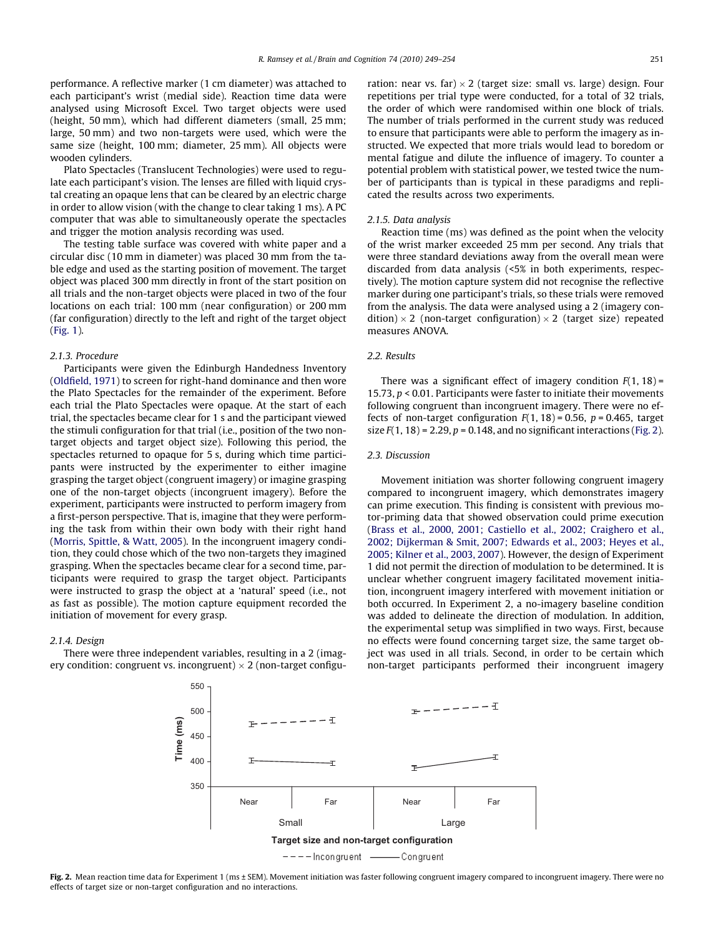performance. A reflective marker (1 cm diameter) was attached to each participant's wrist (medial side). Reaction time data were analysed using Microsoft Excel. Two target objects were used (height, 50 mm), which had different diameters (small, 25 mm; large, 50 mm) and two non-targets were used, which were the same size (height, 100 mm; diameter, 25 mm). All objects were wooden cylinders.

Plato Spectacles (Translucent Technologies) were used to regulate each participant's vision. The lenses are filled with liquid crystal creating an opaque lens that can be cleared by an electric charge in order to allow vision (with the change to clear taking 1 ms). A PC computer that was able to simultaneously operate the spectacles and trigger the motion analysis recording was used.

The testing table surface was covered with white paper and a circular disc (10 mm in diameter) was placed 30 mm from the table edge and used as the starting position of movement. The target object was placed 300 mm directly in front of the start position on all trials and the non-target objects were placed in two of the four locations on each trial: 100 mm (near configuration) or 200 mm (far configuration) directly to the left and right of the target object ([Fig. 1](#page-1-0)).

## 2.1.3. Procedure

Participants were given the Edinburgh Handedness Inventory ([Oldfield, 1971](#page-5-0)) to screen for right-hand dominance and then wore the Plato Spectacles for the remainder of the experiment. Before each trial the Plato Spectacles were opaque. At the start of each trial, the spectacles became clear for 1 s and the participant viewed the stimuli configuration for that trial (i.e., position of the two nontarget objects and target object size). Following this period, the spectacles returned to opaque for 5 s, during which time participants were instructed by the experimenter to either imagine grasping the target object (congruent imagery) or imagine grasping one of the non-target objects (incongruent imagery). Before the experiment, participants were instructed to perform imagery from a first-person perspective. That is, imagine that they were performing the task from within their own body with their right hand ([Morris, Spittle, & Watt, 2005\)](#page-5-0). In the incongruent imagery condition, they could chose which of the two non-targets they imagined grasping. When the spectacles became clear for a second time, participants were required to grasp the target object. Participants were instructed to grasp the object at a 'natural' speed (i.e., not as fast as possible). The motion capture equipment recorded the initiation of movement for every grasp.

#### 2.1.4. Design

There were three independent variables, resulting in a 2 (imagery condition: congruent vs. incongruent)  $\times$  2 (non-target configu-

ration: near vs. far)  $\times$  2 (target size: small vs. large) design. Four repetitions per trial type were conducted, for a total of 32 trials, the order of which were randomised within one block of trials. The number of trials performed in the current study was reduced to ensure that participants were able to perform the imagery as instructed. We expected that more trials would lead to boredom or mental fatigue and dilute the influence of imagery. To counter a potential problem with statistical power, we tested twice the number of participants than is typical in these paradigms and replicated the results across two experiments.

#### 2.1.5. Data analysis

Reaction time (ms) was defined as the point when the velocity of the wrist marker exceeded 25 mm per second. Any trials that were three standard deviations away from the overall mean were discarded from data analysis (<5% in both experiments, respectively). The motion capture system did not recognise the reflective marker during one participant's trials, so these trials were removed from the analysis. The data were analysed using a 2 (imagery condition)  $\times$  2 (non-target configuration)  $\times$  2 (target size) repeated measures ANOVA.

#### 2.2. Results

There was a significant effect of imagery condition  $F(1, 18) =$ 15.73, p < 0.01. Participants were faster to initiate their movements following congruent than incongruent imagery. There were no effects of non-target configuration  $F(1, 18) = 0.56$ ,  $p = 0.465$ , target size  $F(1, 18) = 2.29$ ,  $p = 0.148$ , and no significant interactions (Fig. 2).

#### 2.3. Discussion

Movement initiation was shorter following congruent imagery compared to incongruent imagery, which demonstrates imagery can prime execution. This finding is consistent with previous motor-priming data that showed observation could prime execution ([Brass et al., 2000, 2001; Castiello et al., 2002; Craighero et al.,](#page-5-0) [2002; Dijkerman & Smit, 2007; Edwards et al., 2003; Heyes et al.,](#page-5-0) [2005; Kilner et al., 2003, 2007\)](#page-5-0). However, the design of Experiment 1 did not permit the direction of modulation to be determined. It is unclear whether congruent imagery facilitated movement initiation, incongruent imagery interfered with movement initiation or both occurred. In Experiment 2, a no-imagery baseline condition was added to delineate the direction of modulation. In addition, the experimental setup was simplified in two ways. First, because no effects were found concerning target size, the same target object was used in all trials. Second, in order to be certain which non-target participants performed their incongruent imagery



Fig. 2. Mean reaction time data for Experiment 1 (ms ± SEM). Movement initiation was faster following congruent imagery compared to incongruent imagery. There were no effects of target size or non-target configuration and no interactions.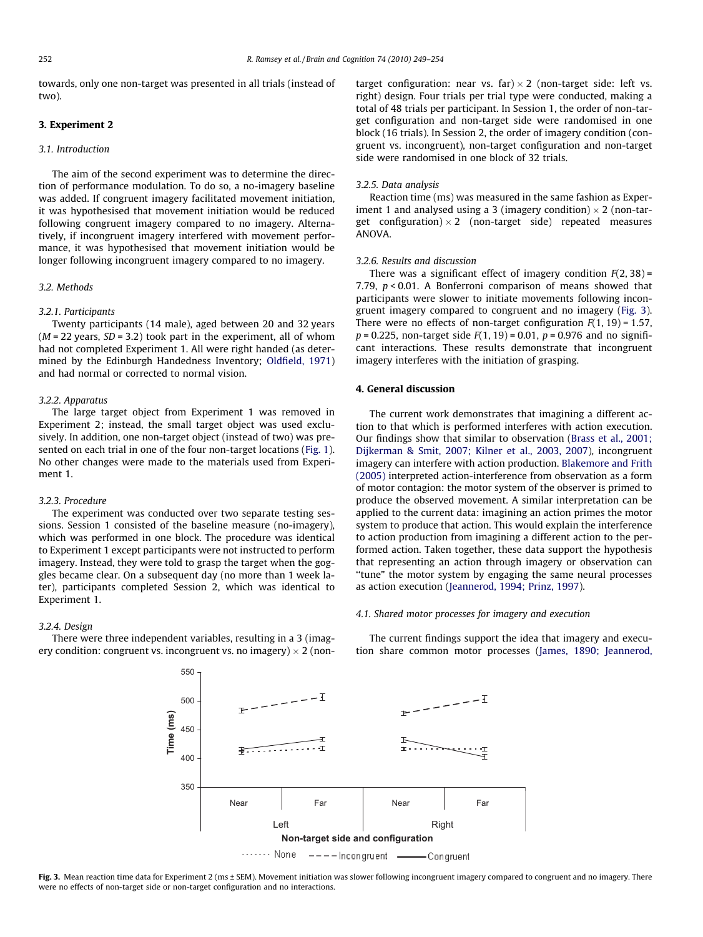towards, only one non-target was presented in all trials (instead of two).

# 3. Experiment 2

## 3.1. Introduction

The aim of the second experiment was to determine the direction of performance modulation. To do so, a no-imagery baseline was added. If congruent imagery facilitated movement initiation, it was hypothesised that movement initiation would be reduced following congruent imagery compared to no imagery. Alternatively, if incongruent imagery interfered with movement performance, it was hypothesised that movement initiation would be longer following incongruent imagery compared to no imagery.

## 3.2. Methods

#### 3.2.1. Participants

Twenty participants (14 male), aged between 20 and 32 years  $(M = 22 \text{ years}, SD = 3.2)$  took part in the experiment, all of whom had not completed Experiment 1. All were right handed (as determined by the Edinburgh Handedness Inventory; [Oldfield, 1971\)](#page-5-0) and had normal or corrected to normal vision.

#### 3.2.2. Apparatus

The large target object from Experiment 1 was removed in Experiment 2; instead, the small target object was used exclusively. In addition, one non-target object (instead of two) was presented on each trial in one of the four non-target locations ([Fig. 1\)](#page-1-0). No other changes were made to the materials used from Experiment 1.

# 3.2.3. Procedure

The experiment was conducted over two separate testing sessions. Session 1 consisted of the baseline measure (no-imagery), which was performed in one block. The procedure was identical to Experiment 1 except participants were not instructed to perform imagery. Instead, they were told to grasp the target when the goggles became clear. On a subsequent day (no more than 1 week later), participants completed Session 2, which was identical to Experiment 1.

### 3.2.4. Design

There were three independent variables, resulting in a 3 (imagery condition: congruent vs. incongruent vs. no imagery)  $\times$  2 (non-

550

target configuration: near vs. far $) \times 2$  (non-target side: left vs. right) design. Four trials per trial type were conducted, making a total of 48 trials per participant. In Session 1, the order of non-target configuration and non-target side were randomised in one block (16 trials). In Session 2, the order of imagery condition (congruent vs. incongruent), non-target configuration and non-target side were randomised in one block of 32 trials.

# 3.2.5. Data analysis

Reaction time (ms) was measured in the same fashion as Experiment 1 and analysed using a 3 (imagery condition)  $\times$  2 (non-target configuration)  $\times$  2 (non-target side) repeated measures ANOVA.

# 3.2.6. Results and discussion

There was a significant effect of imagery condition  $F(2, 38) =$ 7.79,  $p < 0.01$ . A Bonferroni comparison of means showed that participants were slower to initiate movements following incongruent imagery compared to congruent and no imagery (Fig. 3). There were no effects of non-target configuration  $F(1, 19) = 1.57$ ,  $p = 0.225$ , non-target side  $F(1, 19) = 0.01$ ,  $p = 0.976$  and no significant interactions. These results demonstrate that incongruent imagery interferes with the initiation of grasping.

#### 4. General discussion

The current work demonstrates that imagining a different action to that which is performed interferes with action execution. Our findings show that similar to observation [\(Brass et al., 2001;](#page-5-0) [Dijkerman & Smit, 2007; Kilner et al., 2003, 2007](#page-5-0)), incongruent imagery can interfere with action production. [Blakemore and Frith](#page-5-0) [\(2005\)](#page-5-0) interpreted action-interference from observation as a form of motor contagion: the motor system of the observer is primed to produce the observed movement. A similar interpretation can be applied to the current data: imagining an action primes the motor system to produce that action. This would explain the interference to action production from imagining a different action to the performed action. Taken together, these data support the hypothesis that representing an action through imagery or observation can ''tune" the motor system by engaging the same neural processes as action execution ([Jeannerod, 1994; Prinz, 1997\)](#page-5-0).

#### 4.1. Shared motor processes for imagery and execution

The current findings support the idea that imagery and execution share common motor processes [\(James, 1890; Jeannerod,](#page-5-0)





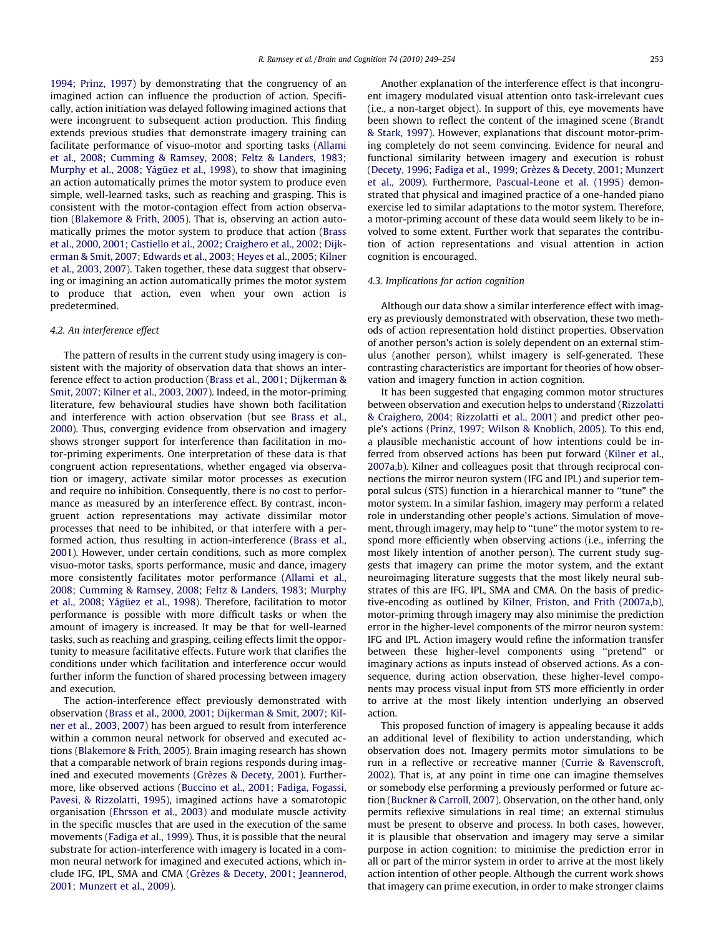[1994; Prinz, 1997](#page-5-0)) by demonstrating that the congruency of an imagined action can influence the production of action. Specifically, action initiation was delayed following imagined actions that were incongruent to subsequent action production. This finding extends previous studies that demonstrate imagery training can facilitate performance of visuo-motor and sporting tasks ([Allami](#page-5-0) [et al., 2008; Cumming & Ramsey, 2008; Feltz & Landers, 1983;](#page-5-0) [Murphy et al., 2008; Yágüez et al., 1998](#page-5-0)), to show that imagining an action automatically primes the motor system to produce even simple, well-learned tasks, such as reaching and grasping. This is consistent with the motor-contagion effect from action observation ([Blakemore & Frith, 2005\)](#page-5-0). That is, observing an action automatically primes the motor system to produce that action ([Brass](#page-5-0) [et al., 2000, 2001; Castiello et al., 2002; Craighero et al., 2002; Dijk](#page-5-0)[erman & Smit, 2007; Edwards et al., 2003; Heyes et al., 2005; Kilner](#page-5-0) [et al., 2003, 2007](#page-5-0)). Taken together, these data suggest that observing or imagining an action automatically primes the motor system to produce that action, even when your own action is predetermined.

# 4.2. An interference effect

The pattern of results in the current study using imagery is consistent with the majority of observation data that shows an interference effect to action production ([Brass et al., 2001; Dijkerman &](#page-5-0) [Smit, 2007; Kilner et al., 2003, 2007](#page-5-0)). Indeed, in the motor-priming literature, few behavioural studies have shown both facilitation and interference with action observation (but see [Brass et al.,](#page-5-0) [2000](#page-5-0)). Thus, converging evidence from observation and imagery shows stronger support for interference than facilitation in motor-priming experiments. One interpretation of these data is that congruent action representations, whether engaged via observation or imagery, activate similar motor processes as execution and require no inhibition. Consequently, there is no cost to performance as measured by an interference effect. By contrast, incongruent action representations may activate dissimilar motor processes that need to be inhibited, or that interfere with a performed action, thus resulting in action-interference ([Brass et al.,](#page-5-0) [2001](#page-5-0)). However, under certain conditions, such as more complex visuo-motor tasks, sports performance, music and dance, imagery more consistently facilitates motor performance ([Allami et al.,](#page-5-0) [2008; Cumming & Ramsey, 2008; Feltz & Landers, 1983; Murphy](#page-5-0) [et al., 2008; Yágüez et al., 1998\)](#page-5-0). Therefore, facilitation to motor performance is possible with more difficult tasks or when the amount of imagery is increased. It may be that for well-learned tasks, such as reaching and grasping, ceiling effects limit the opportunity to measure facilitative effects. Future work that clarifies the conditions under which facilitation and interference occur would further inform the function of shared processing between imagery and execution.

The action-interference effect previously demonstrated with observation [\(Brass et al., 2000, 2001; Dijkerman & Smit, 2007; Kil](#page-5-0)[ner et al., 2003, 2007\)](#page-5-0) has been argued to result from interference within a common neural network for observed and executed actions [\(Blakemore & Frith, 2005\)](#page-5-0). Brain imaging research has shown that a comparable network of brain regions responds during imagined and executed movements [\(Grèzes & Decety, 2001](#page-5-0)). Furthermore, like observed actions ([Buccino et al., 2001; Fadiga, Fogassi,](#page-5-0) [Pavesi, & Rizzolatti, 1995\)](#page-5-0), imagined actions have a somatotopic organisation ([Ehrsson et al., 2003](#page-5-0)) and modulate muscle activity in the specific muscles that are used in the execution of the same movements [\(Fadiga et al., 1999\)](#page-5-0). Thus, it is possible that the neural substrate for action-interference with imagery is located in a common neural network for imagined and executed actions, which include IFG, IPL, SMA and CMA [\(Grèzes & Decety, 2001; Jeannerod,](#page-5-0) [2001; Munzert et al., 2009\)](#page-5-0).

Another explanation of the interference effect is that incongruent imagery modulated visual attention onto task-irrelevant cues (i.e., a non-target object). In support of this, eye movements have been shown to reflect the content of the imagined scene [\(Brandt](#page-5-0) [& Stark, 1997](#page-5-0)). However, explanations that discount motor-priming completely do not seem convincing. Evidence for neural and functional similarity between imagery and execution is robust ([Decety, 1996; Fadiga et al., 1999; Grèzes & Decety, 2001; Munzert](#page-5-0) [et al., 2009](#page-5-0)). Furthermore, [Pascual-Leone et al. \(1995\)](#page-5-0) demonstrated that physical and imagined practice of a one-handed piano exercise led to similar adaptations to the motor system. Therefore, a motor-priming account of these data would seem likely to be involved to some extent. Further work that separates the contribution of action representations and visual attention in action cognition is encouraged.

# 4.3. Implications for action cognition

Although our data show a similar interference effect with imagery as previously demonstrated with observation, these two methods of action representation hold distinct properties. Observation of another person's action is solely dependent on an external stimulus (another person), whilst imagery is self-generated. These contrasting characteristics are important for theories of how observation and imagery function in action cognition.

It has been suggested that engaging common motor structures between observation and execution helps to understand [\(Rizzolatti](#page-5-0) [& Craighero, 2004; Rizzolatti et al., 2001\)](#page-5-0) and predict other people's actions ([Prinz, 1997; Wilson & Knoblich, 2005](#page-5-0)). To this end, a plausible mechanistic account of how intentions could be inferred from observed actions has been put forward ([Kilner et al.,](#page-5-0) [2007a,b](#page-5-0)). Kilner and colleagues posit that through reciprocal connections the mirror neuron system (IFG and IPL) and superior temporal sulcus (STS) function in a hierarchical manner to ''tune" the motor system. In a similar fashion, imagery may perform a related role in understanding other people's actions. Simulation of movement, through imagery, may help to "tune" the motor system to respond more efficiently when observing actions (i.e., inferring the most likely intention of another person). The current study suggests that imagery can prime the motor system, and the extant neuroimaging literature suggests that the most likely neural substrates of this are IFG, IPL, SMA and CMA. On the basis of predictive-encoding as outlined by [Kilner, Friston, and Frith \(2007a,b\),](#page-5-0) motor-priming through imagery may also minimise the prediction error in the higher-level components of the mirror neuron system: IFG and IPL. Action imagery would refine the information transfer between these higher-level components using ''pretend" or imaginary actions as inputs instead of observed actions. As a consequence, during action observation, these higher-level components may process visual input from STS more efficiently in order to arrive at the most likely intention underlying an observed action.

This proposed function of imagery is appealing because it adds an additional level of flexibility to action understanding, which observation does not. Imagery permits motor simulations to be run in a reflective or recreative manner [\(Currie & Ravenscroft,](#page-5-0) [2002](#page-5-0)). That is, at any point in time one can imagine themselves or somebody else performing a previously performed or future action [\(Buckner & Carroll, 2007\)](#page-5-0). Observation, on the other hand, only permits reflexive simulations in real time; an external stimulus must be present to observe and process. In both cases, however, it is plausible that observation and imagery may serve a similar purpose in action cognition: to minimise the prediction error in all or part of the mirror system in order to arrive at the most likely action intention of other people. Although the current work shows that imagery can prime execution, in order to make stronger claims